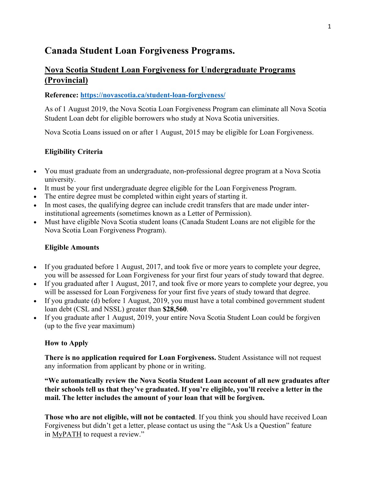# **Canada Student Loan Forgiveness Programs.**

# **Nova Scotia Student Loan Forgiveness for Undergraduate Programs (Provincial)**

#### **Reference: https://novascotia.ca/student-loan-forgiveness/**

As of 1 August 2019, the Nova Scotia Loan Forgiveness Program can eliminate all Nova Scotia Student Loan debt for eligible borrowers who study at Nova Scotia universities.

Nova Scotia Loans issued on or after 1 August, 2015 may be eligible for Loan Forgiveness.

#### **Eligibility Criteria**

- You must graduate from an undergraduate, non-professional degree program at a Nova Scotia university.
- It must be your first undergraduate degree eligible for the Loan Forgiveness Program.
- The entire degree must be completed within eight years of starting it.
- In most cases, the qualifying degree can include credit transfers that are made under interinstitutional agreements (sometimes known as a Letter of Permission).
- Must have eligible Nova Scotia student loans (Canada Student Loans are not eligible for the Nova Scotia Loan Forgiveness Program).

#### **Eligible Amounts**

- If you graduated before 1 August, 2017, and took five or more years to complete your degree, you will be assessed for Loan Forgiveness for your first four years of study toward that degree.
- If you graduated after 1 August, 2017, and took five or more years to complete your degree, you will be assessed for Loan Forgiveness for your first five years of study toward that degree.
- If you graduate (d) before 1 August, 2019, you must have a total combined government student loan debt (CSL and NSSL) greater than **\$28,560**.
- If you graduate after 1 August, 2019, your entire Nova Scotia Student Loan could be forgiven (up to the five year maximum)

#### **How to Apply**

**There is no application required for Loan Forgiveness.** Student Assistance will not request any information from applicant by phone or in writing.

**"We automatically review the Nova Scotia Student Loan account of all new graduates after their schools tell us that they've graduated. If you're eligible, you'll receive a letter in the mail. The letter includes the amount of your loan that will be forgiven.**

**Those who are not eligible, will not be contacted**. If you think you should have received Loan Forgiveness but didn't get a letter, please contact us using the "Ask Us a Question" feature in MyPATH to request a review."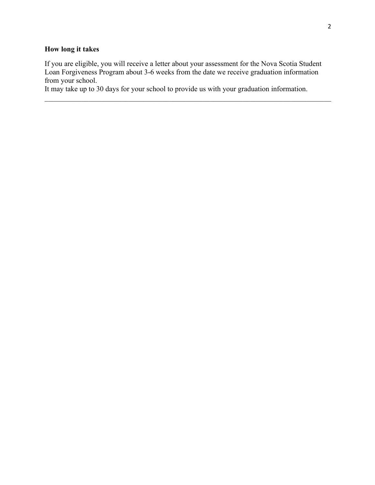# **How long it takes**

If you are eligible, you will receive a letter about your assessment for the Nova Scotia Student Loan Forgiveness Program about 3-6 weeks from the date we receive graduation information from your school.

It may take up to 30 days for your school to provide us with your graduation information.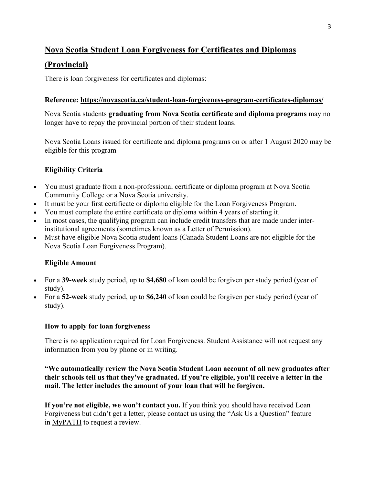# **Nova Scotia Student Loan Forgiveness for Certificates and Diplomas**

# **(Provincial)**

There is loan forgiveness for certificates and diplomas:

### **Reference: https://novascotia.ca/student-loan-forgiveness-program-certificates-diplomas/**

Nova Scotia students **graduating from Nova Scotia certificate and diploma programs** may no longer have to repay the provincial portion of their student loans.

Nova Scotia Loans issued for certificate and diploma programs on or after 1 August 2020 may be eligible for this program

### **Eligibility Criteria**

- You must graduate from a non-professional certificate or diploma program at Nova Scotia Community College or a Nova Scotia university.
- It must be your first certificate or diploma eligible for the Loan Forgiveness Program.
- You must complete the entire certificate or diploma within 4 years of starting it.
- In most cases, the qualifying program can include credit transfers that are made under interinstitutional agreements (sometimes known as a Letter of Permission).
- Must have eligible Nova Scotia student loans (Canada Student Loans are not eligible for the Nova Scotia Loan Forgiveness Program).

### **Eligible Amount**

- For a **39-week** study period, up to **\$4,680** of loan could be forgiven per study period (year of study).
- For a **52-week** study period, up to **\$6,240** of loan could be forgiven per study period (year of study).

### **How to apply for loan forgiveness**

There is no application required for Loan Forgiveness. Student Assistance will not request any information from you by phone or in writing.

**"We automatically review the Nova Scotia Student Loan account of all new graduates after their schools tell us that they've graduated. If you're eligible, you'll receive a letter in the mail. The letter includes the amount of your loan that will be forgiven.**

**If you're not eligible, we won't contact you.** If you think you should have received Loan Forgiveness but didn't get a letter, please contact us using the "Ask Us a Question" feature in MyPATH to request a review.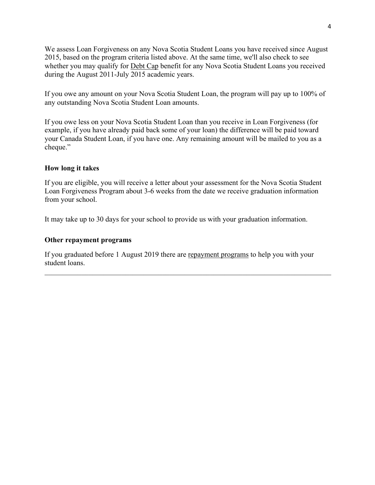We assess Loan Forgiveness on any Nova Scotia Student Loans you have received since August 2015, based on the program criteria listed above. At the same time, we'll also check to see whether you may qualify for Debt Cap benefit for any Nova Scotia Student Loans you received during the August 2011-July 2015 academic years.

If you owe any amount on your Nova Scotia Student Loan, the program will pay up to 100% of any outstanding Nova Scotia Student Loan amounts.

If you owe less on your Nova Scotia Student Loan than you receive in Loan Forgiveness (for example, if you have already paid back some of your loan) the difference will be paid toward your Canada Student Loan, if you have one. Any remaining amount will be mailed to you as a cheque."

#### **How long it takes**

If you are eligible, you will receive a letter about your assessment for the Nova Scotia Student Loan Forgiveness Program about 3-6 weeks from the date we receive graduation information from your school.

It may take up to 30 days for your school to provide us with your graduation information.

#### **Other repayment programs**

If you graduated before 1 August 2019 there are repayment programs to help you with your student loans.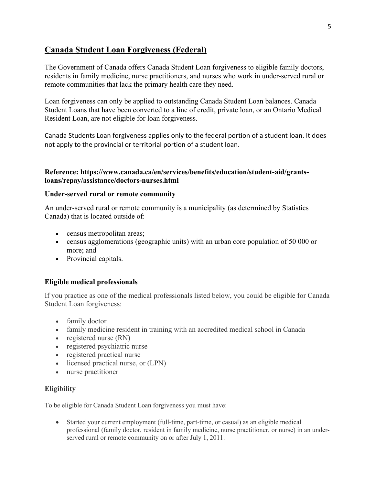# **Canada Student Loan Forgiveness (Federal)**

The Government of Canada offers Canada Student Loan forgiveness to eligible family doctors, residents in family medicine, nurse practitioners, and nurses who work in under-served rural or remote communities that lack the primary health care they need.

Loan forgiveness can only be applied to outstanding Canada Student Loan balances. Canada Student Loans that have been converted to a line of credit, private loan, or an Ontario Medical Resident Loan, are not eligible for loan forgiveness.

Canada Students Loan forgiveness applies only to the federal portion of a student loan. It does not apply to the provincial or territorial portion of a student loan.

#### **Reference: https://www.canada.ca/en/services/benefits/education/student-aid/grantsloans/repay/assistance/doctors-nurses.html**

#### **Under-served rural or remote community**

An under-served rural or remote community is a municipality (as determined by Statistics Canada) that is located outside of:

- census metropolitan areas;
- census agglomerations (geographic units) with an urban core population of 50 000 or more; and
- Provincial capitals.

#### **Eligible medical professionals**

If you practice as one of the medical professionals listed below, you could be eligible for Canada Student Loan forgiveness:

- family doctor
- family medicine resident in training with an accredited medical school in Canada
- registered nurse (RN)
- registered psychiatric nurse
- registered practical nurse
- licensed practical nurse, or (LPN)
- nurse practitioner

#### **Eligibility**

To be eligible for Canada Student Loan forgiveness you must have:

• Started your current employment (full-time, part-time, or casual) as an eligible medical professional (family doctor, resident in family medicine, nurse practitioner, or nurse) in an underserved rural or remote community on or after July 1, 2011.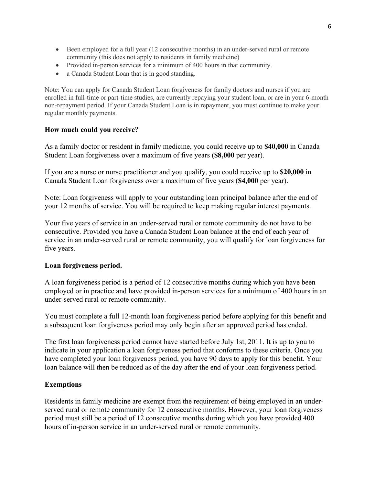- Been employed for a full year (12 consecutive months) in an under-served rural or remote community (this does not apply to residents in family medicine)
- Provided in-person services for a minimum of 400 hours in that community.
- a Canada Student Loan that is in good standing.

Note: You can apply for Canada Student Loan forgiveness for family doctors and nurses if you are enrolled in full-time or part-time studies, are currently repaying your student loan, or are in your 6-month non-repayment period. If your Canada Student Loan is in repayment, you must continue to make your regular monthly payments.

#### **How much could you receive?**

As a family doctor or resident in family medicine, you could receive up to **\$40,000** in Canada Student Loan forgiveness over a maximum of five years **(\$8,000** per year).

If you are a nurse or nurse practitioner and you qualify, you could receive up to **\$20,000** in Canada Student Loan forgiveness over a maximum of five years (**\$4,000** per year).

Note: Loan forgiveness will apply to your outstanding loan principal balance after the end of your 12 months of service. You will be required to keep making regular interest payments.

Your five years of service in an under-served rural or remote community do not have to be consecutive. Provided you have a Canada Student Loan balance at the end of each year of service in an under-served rural or remote community, you will qualify for loan forgiveness for five years.

#### **Loan forgiveness period.**

A loan forgiveness period is a period of 12 consecutive months during which you have been employed or in practice and have provided in-person services for a minimum of 400 hours in an under-served rural or remote community.

You must complete a full 12-month loan forgiveness period before applying for this benefit and a subsequent loan forgiveness period may only begin after an approved period has ended.

The first loan forgiveness period cannot have started before July 1st, 2011. It is up to you to indicate in your application a loan forgiveness period that conforms to these criteria. Once you have completed your loan forgiveness period, you have 90 days to apply for this benefit. Your loan balance will then be reduced as of the day after the end of your loan forgiveness period.

#### **Exemptions**

Residents in family medicine are exempt from the requirement of being employed in an underserved rural or remote community for 12 consecutive months. However, your loan forgiveness period must still be a period of 12 consecutive months during which you have provided 400 hours of in-person service in an under-served rural or remote community.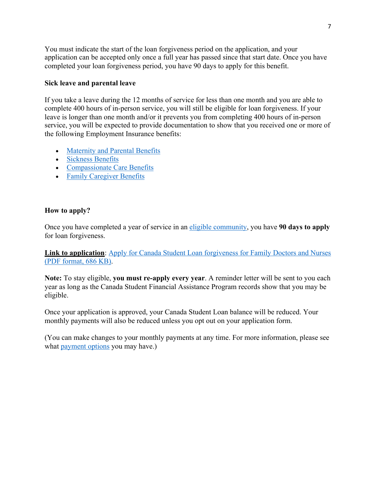You must indicate the start of the loan forgiveness period on the application, and your application can be accepted only once a full year has passed since that start date. Once you have completed your loan forgiveness period, you have 90 days to apply for this benefit.

#### **Sick leave and parental leave**

If you take a leave during the 12 months of service for less than one month and you are able to complete 400 hours of in-person service, you will still be eligible for loan forgiveness. If your leave is longer than one month and/or it prevents you from completing 400 hours of in-person service, you will be expected to provide documentation to show that you received one or more of the following Employment Insurance benefits:

- Maternity and Parental Benefits
- Sickness Benefits
- Compassionate Care Benefits
- Family Caregiver Benefits

### **How to apply?**

Once you have completed a year of service in an eligible community, you have **90 days to apply** for loan forgiveness.

**Link to application**: Apply for Canada Student Loan forgiveness for Family Doctors and Nurses (PDF format, 686 KB).

**Note:** To stay eligible, **you must re-apply every year**. A reminder letter will be sent to you each year as long as the Canada Student Financial Assistance Program records show that you may be eligible.

Once your application is approved, your Canada Student Loan balance will be reduced. Your monthly payments will also be reduced unless you opt out on your application form.

(You can make changes to your monthly payments at any time. For more information, please see what payment options you may have.)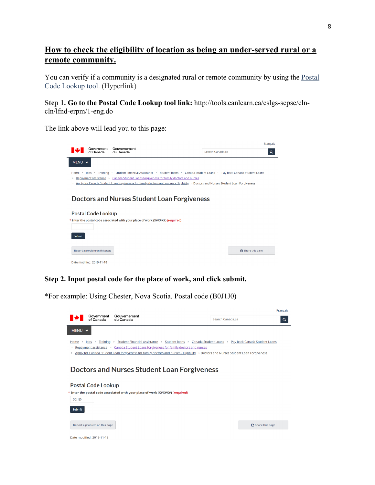# **How to check the eligibility of location as being an under-served rural or a remote community.**

You can verify if a community is a designated rural or remote community by using the Postal Code Lookup tool. (Hyperlink)

**Step 1. Go to the Postal Code Lookup tool link:** http://tools.canlearn.ca/cslgs-scpse/clncln/lfnd-erpm/1-eng.do

The link above will lead you to this page:

|                                                                                                                                                                                                                                                                                                                                                                        |                               |                                                                                | <b>Français</b>  |                 |  |  |  |
|------------------------------------------------------------------------------------------------------------------------------------------------------------------------------------------------------------------------------------------------------------------------------------------------------------------------------------------------------------------------|-------------------------------|--------------------------------------------------------------------------------|------------------|-----------------|--|--|--|
|                                                                                                                                                                                                                                                                                                                                                                        | Government<br>of Canada       | Gouvernement<br>du Canada                                                      | Search Canada.ca | Q               |  |  |  |
| MENU $\vee$                                                                                                                                                                                                                                                                                                                                                            |                               |                                                                                |                  |                 |  |  |  |
| Home > Jobs > Training > Student Financial Assistance > Student Joans > Canada Student Loans > Pay back Canada Student Loans<br>Repayment assistance > Canada Student Loans forgiveness for family doctors and nurses<br>٠<br>Apply for Canada Student Loan forgiveness for family doctors and nurses - Eligibility > Doctors and Nurses Student Loan Forgiveness<br>× |                               |                                                                                |                  |                 |  |  |  |
| Doctors and Nurses Student Loan Forgiveness                                                                                                                                                                                                                                                                                                                            |                               |                                                                                |                  |                 |  |  |  |
|                                                                                                                                                                                                                                                                                                                                                                        | <b>Postal Code Lookup</b>     |                                                                                |                  |                 |  |  |  |
|                                                                                                                                                                                                                                                                                                                                                                        |                               | * Enter the postal code associated with your place of work (X#X#X#) (required) |                  |                 |  |  |  |
| <b>Submit</b>                                                                                                                                                                                                                                                                                                                                                          |                               |                                                                                |                  |                 |  |  |  |
|                                                                                                                                                                                                                                                                                                                                                                        | Report a problem on this page |                                                                                |                  | Share this page |  |  |  |
|                                                                                                                                                                                                                                                                                                                                                                        | Date modified: 2019-11-18     |                                                                                |                  |                 |  |  |  |

### **Step 2. Input postal code for the place of work, and click submit.**

\*For example: Using Chester, Nova Scotia. Postal code (B0J1J0)

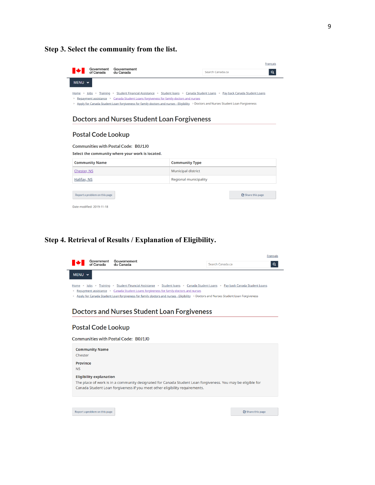**Step 3. Select the community from the list.** 

|                                                                                                                                                                                                                                                                                                                                                                      | Government<br>of Canada                                    | Gouvernement<br>du Canada |                           |                  | <b>Français</b> |          |  |
|----------------------------------------------------------------------------------------------------------------------------------------------------------------------------------------------------------------------------------------------------------------------------------------------------------------------------------------------------------------------|------------------------------------------------------------|---------------------------|---------------------------|------------------|-----------------|----------|--|
|                                                                                                                                                                                                                                                                                                                                                                      |                                                            |                           |                           | Search Canada.ca |                 | $\alpha$ |  |
| MENU $\vee$                                                                                                                                                                                                                                                                                                                                                          |                                                            |                           |                           |                  |                 |          |  |
| Home > Jobs > Training > Student Financial Assistance > Student Joans > Canada Student Loans > Pay back Canada Student Loans<br>Repayment assistance > Canada Student Loans for giveness for family doctors and nurses<br>><br>> Apply for Canada Student Loan forgiveness for family doctors and nurses - Eligibility > Doctors and Nurses Student Loan Forgiveness |                                                            |                           |                           |                  |                 |          |  |
| <b>Doctors and Nurses Student Loan Forgiveness</b>                                                                                                                                                                                                                                                                                                                   |                                                            |                           |                           |                  |                 |          |  |
| <b>Postal Code Lookup</b><br><b>Communities with Postal Code: B0J1J0</b><br>Select the community where your work is located.                                                                                                                                                                                                                                         |                                                            |                           |                           |                  |                 |          |  |
|                                                                                                                                                                                                                                                                                                                                                                      | <b>Community Name</b>                                      |                           | <b>Community Type</b>     |                  |                 |          |  |
| Chester, NS                                                                                                                                                                                                                                                                                                                                                          |                                                            |                           | <b>Municipal district</b> |                  |                 |          |  |
| Halifax, NS                                                                                                                                                                                                                                                                                                                                                          |                                                            |                           | Regional municipality     |                  |                 |          |  |
|                                                                                                                                                                                                                                                                                                                                                                      | Report a problem on this page<br>Date modified: 2019-11-18 |                           |                           |                  | Share this page |          |  |

### **Step 4. Retrieval of Results / Explanation of Eligibility.**

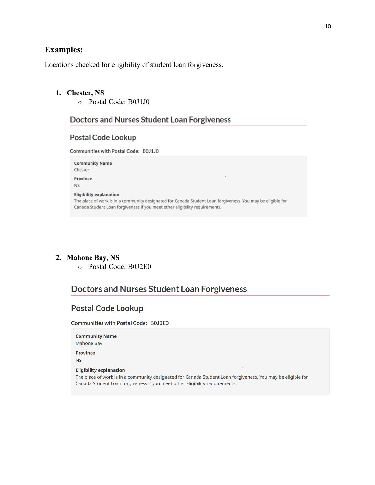# **Examples:**

Locations checked for eligibility of student loan forgiveness.

#### **1. Chester, NS**

o Postal Code: B0J1J0

# Doctors and Nurses Student Loan Forgiveness

#### **Postal Code Lookup**

Communities with Postal Code: B0J1J0

| <b>Community Name</b><br>Chester                                                                                                                                                                                             |
|------------------------------------------------------------------------------------------------------------------------------------------------------------------------------------------------------------------------------|
| ٠<br>Province<br><b>NS</b>                                                                                                                                                                                                   |
| <b>Eligibility explanation</b><br>The place of work is in a community designated for Canada Student Loan forgiveness. You may be eligible for<br>Canada Student Loan forgiveness if you meet other eligibility reguirements. |

# **2. Mahone Bay, NS**

o Postal Code: B0J2E0

# **Doctors and Nurses Student Loan Forgiveness**

# **Postal Code Lookup**

Communities with Postal Code: B0J2E0

| <b>Community Name</b>                                                                                                                                                                      |
|--------------------------------------------------------------------------------------------------------------------------------------------------------------------------------------------|
| Mahone Bay                                                                                                                                                                                 |
| <b>Province</b>                                                                                                                                                                            |
| <b>NS</b>                                                                                                                                                                                  |
| <b>Eligibility explanation</b>                                                                                                                                                             |
| The place of work is in a community designated for Canada Student Loan forgiveness. You may be eligible for<br>Canada Student Loan forgiveness if you meet other eligibility reguirements. |